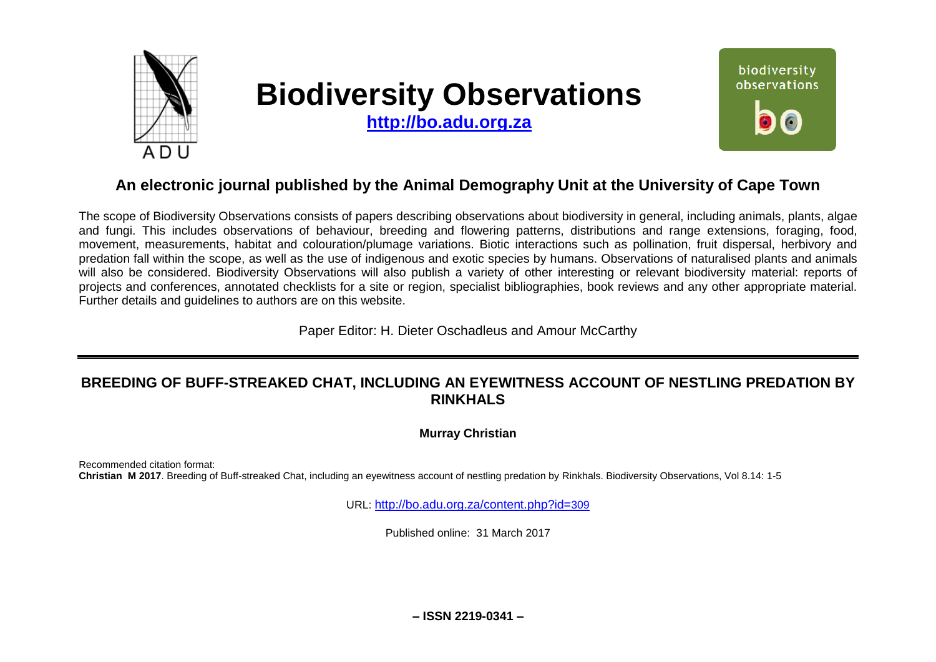

# **Biodiversity Observations**

**[http://bo.adu.org.za](http://bo.adu.org.za/)**



## **An electronic journal published by the Animal Demography Unit at the University of Cape Town**

The scope of Biodiversity Observations consists of papers describing observations about biodiversity in general, including animals, plants, algae and fungi. This includes observations of behaviour, breeding and flowering patterns, distributions and range extensions, foraging, food, movement, measurements, habitat and colouration/plumage variations. Biotic interactions such as pollination, fruit dispersal, herbivory and predation fall within the scope, as well as the use of indigenous and exotic species by humans. Observations of naturalised plants and animals will also be considered. Biodiversity Observations will also publish a variety of other interesting or relevant biodiversity material: reports of projects and conferences, annotated checklists for a site or region, specialist bibliographies, book reviews and any other appropriate material. Further details and guidelines to authors are on this website.

Paper Editor: H. Dieter Oschadleus and Amour McCarthy

## **BREEDING OF BUFF-STREAKED CHAT, INCLUDING AN EYEWITNESS ACCOUNT OF NESTLING PREDATION BY RINKHALS**

**Murray Christian**

Recommended citation format: **Christian M 2017**. Breeding of Buff-streaked Chat, including an eyewitness account of nestling predation by Rinkhals. Biodiversity Observations, Vol 8.14: 1-5

URL: [http://bo.adu.org.za/content.php?id=](http://bo.adu.org.za/content.php?id=309)309

Published online: 31 March 2017

**– ISSN 2219-0341 –**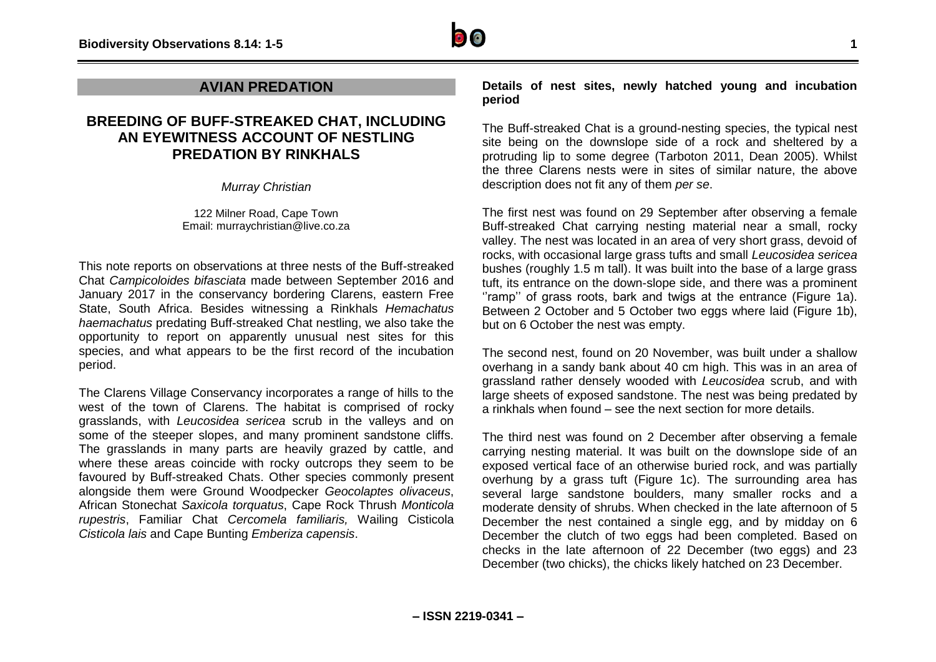

### **AVIAN PREDATION**

## **BREEDING OF BUFF-STREAKED CHAT, INCLUDING AN EYEWITNESS ACCOUNT OF NESTLING PREDATION BY RINKHALS**

*Murray Christian*

122 Milner Road, Cape Town Email: murraychristian@live.co.za

This note reports on observations at three nests of the Buff-streaked Chat *Campicoloides bifasciata* made between September 2016 and January 2017 in the conservancy bordering Clarens, eastern Free State, South Africa. Besides witnessing a Rinkhals *Hemachatus haemachatus* predating Buff-streaked Chat nestling, we also take the opportunity to report on apparently unusual nest sites for this species, and what appears to be the first record of the incubation period.

The Clarens Village Conservancy incorporates a range of hills to the west of the town of Clarens. The habitat is comprised of rocky grasslands, with *Leucosidea sericea* scrub in the valleys and on some of the steeper slopes, and many prominent sandstone cliffs. The grasslands in many parts are heavily grazed by cattle, and where these areas coincide with rocky outcrops they seem to be favoured by Buff-streaked Chats. Other species commonly present alongside them were Ground Woodpecker *Geocolaptes olivaceus*, African Stonechat *Saxicola torquatus*, Cape Rock Thrush *Monticola rupestris*, Familiar Chat *Cercomela familiaris,* Wailing Cisticola *Cisticola lais* and Cape Bunting *Emberiza capensis*.

**Details of nest sites, newly hatched young and incubation period** 

The Buff-streaked Chat is a ground-nesting species, the typical nest site being on the downslope side of a rock and sheltered by a protruding lip to some degree (Tarboton 2011, Dean 2005). Whilst the three Clarens nests were in sites of similar nature, the above description does not fit any of them *per se*.

The first nest was found on 29 September after observing a female Buff-streaked Chat carrying nesting material near a small, rocky valley. The nest was located in an area of very short grass, devoid of rocks, with occasional large grass tufts and small *Leucosidea sericea*  bushes (roughly 1.5 m tall). It was built into the base of a large grass tuft, its entrance on the down-slope side, and there was a prominent ''ramp'' of grass roots, bark and twigs at the entrance (Figure 1a). Between 2 October and 5 October two eggs where laid (Figure 1b), but on 6 October the nest was empty.

The second nest, found on 20 November, was built under a shallow overhang in a sandy bank about 40 cm high. This was in an area of grassland rather densely wooded with *Leucosidea* scrub, and with large sheets of exposed sandstone. The nest was being predated by a rinkhals when found – see the next section for more details.

The third nest was found on 2 December after observing a female carrying nesting material. It was built on the downslope side of an exposed vertical face of an otherwise buried rock, and was partially overhung by a grass tuft (Figure 1c). The surrounding area has several large sandstone boulders, many smaller rocks and a moderate density of shrubs. When checked in the late afternoon of 5 December the nest contained a single egg, and by midday on 6 December the clutch of two eggs had been completed. Based on checks in the late afternoon of 22 December (two eggs) and 23 December (two chicks), the chicks likely hatched on 23 December.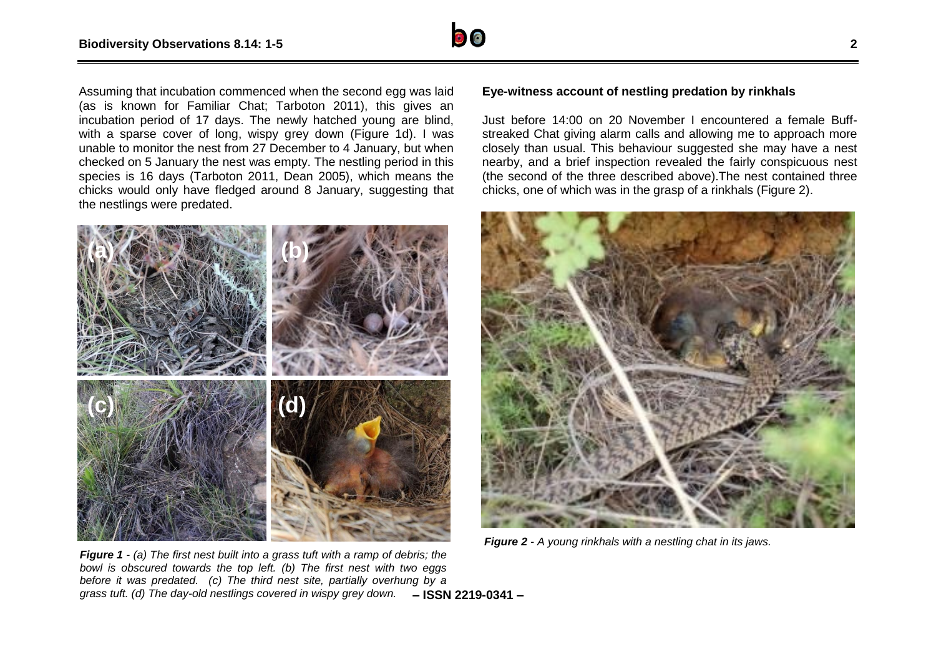

Assuming that incubation commenced when the second egg was laid (as is known for Familiar Chat; Tarboton 2011), this gives an incubation period of 17 days. The newly hatched young are blind, with a sparse cover of long, wispy grey down (Figure 1d). I was unable to monitor the nest from 27 December to 4 January, but when checked on 5 January the nest was empty. The nestling period in this species is 16 days (Tarboton 2011, Dean 2005), which means the chicks would only have fledged around 8 January, suggesting that the nestlings were predated.



#### **Eye-witness account of nestling predation by rinkhals**

Just before 14:00 on 20 November I encountered a female Buffstreaked Chat giving alarm calls and allowing me to approach more closely than usual. This behaviour suggested she may have a nest nearby, and a brief inspection revealed the fairly conspicuous nest (the second of the three described above).The nest contained three chicks, one of which was in the grasp of a rinkhals (Figure 2).



*Figure 2 - A young rinkhals with a nestling chat in its jaws.*

**– ISSN 2219-0341 –** *grass tuft. (d) The day-old nestlings covered in wispy grey down. Figure 1 - (a) The first nest built into a grass tuft with a ramp of debris; the bowl is obscured towards the top left. (b) The first nest with two eggs before it was predated. (c) The third nest site, partially overhung by a*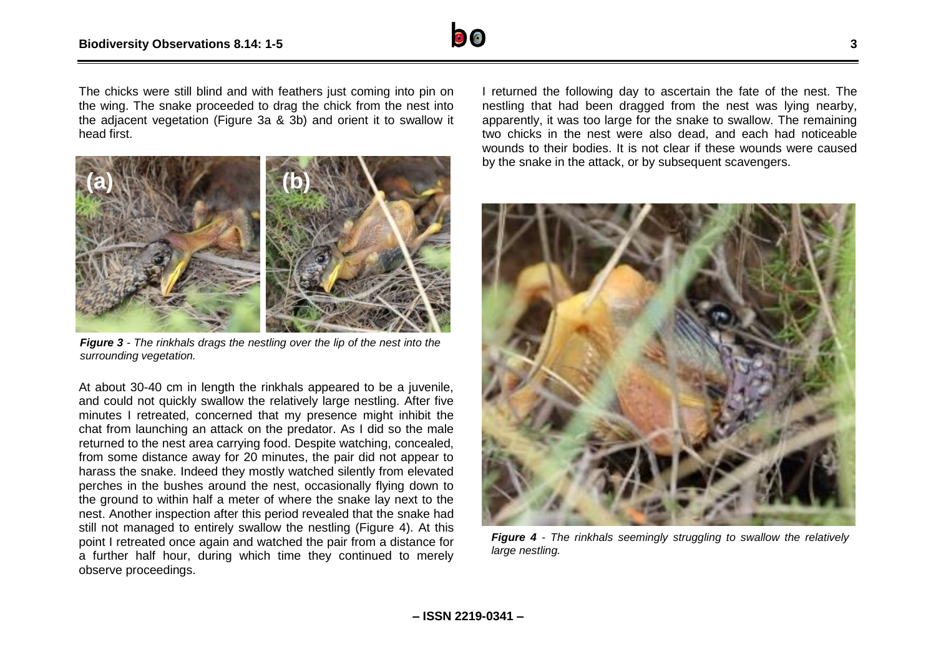

The chicks were still blind and with feathers just coming into pin on the wing. The snake proceeded to drag the chick from the nest into the adjacent vegetation (Figure 3a & 3b) and orient it to swallow it head first.



*Figure 3 - The rinkhals drags the nestling over the lip of the nest into the surrounding vegetation.*

At about 30-40 cm in length the rinkhals appeared to be a juvenile, and could not quickly swallow the relatively large nestling. After five minutes I retreated, concerned that my presence might inhibit the chat from launching an attack on the predator. As I did so the male returned to the nest area carrying food. Despite watching, concealed, from some distance away for 20 minutes, the pair did not appear to harass the snake. Indeed they mostly watched silently from elevated perches in the bushes around the nest, occasionally flying down to the ground to within half a meter of where the snake lay next to the nest. Another inspection after this period revealed that the snake had still not managed to entirely swallow the nestling (Figure 4). At this point I retreated once again and watched the pair from a distance for a further half hour, during which time they continued to merely observe proceedings.

I returned the following day to ascertain the fate of the nest. The nestling that had been dragged from the nest was lying nearby, apparently, it was too large for the snake to swallow. The remaining two chicks in the nest were also dead, and each had noticeable wounds to their bodies. It is not clear if these wounds were caused by the snake in the attack, or by subsequent scavengers.



*Figure 4 - The rinkhals seemingly struggling to swallow the relatively large nestling.*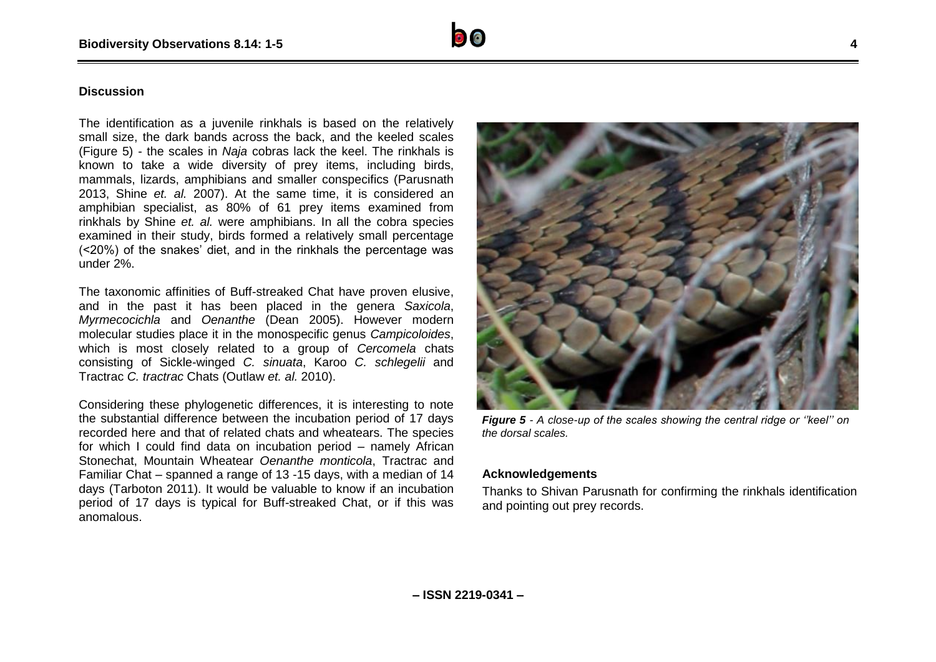#### **Discussion**

The identification as a juvenile rinkhals is based on the relatively small size, the dark bands across the back, and the keeled scales (Figure 5) - the scales in *Naja* cobras lack the keel. The rinkhals is known to take a wide diversity of prey items, including birds, mammals, lizards, amphibians and smaller conspecifics (Parusnath 2013, Shine *et. al.* 2007). At the same time, it is considered an amphibian specialist, as 80% of 61 prey items examined from rinkhals by Shine *et. al.* were amphibians. In all the cobra species examined in their study, birds formed a relatively small percentage (<20%) of the snakes' diet, and in the rinkhals the percentage was under 2%.

The taxonomic affinities of Buff-streaked Chat have proven elusive, and in the past it has been placed in the genera *Saxicola*, *Myrmecocichla* and *Oenanthe* (Dean 2005). However modern molecular studies place it in the monospecific genus *Campicoloides*, which is most closely related to a group of *Cercomela* chats consisting of Sickle-winged *C. sinuata*, Karoo *C. schlegelii* and Tractrac *C. tractrac* Chats (Outlaw *et. al.* 2010).

Considering these phylogenetic differences, it is interesting to note the substantial difference between the incubation period of 17 days recorded here and that of related chats and wheatears. The species for which I could find data on incubation period – namely African Stonechat, Mountain Wheatear *Oenanthe monticola*, Tractrac and Familiar Chat – spanned a range of 13 -15 days, with a median of 14 days (Tarboton 2011). It would be valuable to know if an incubation period of 17 days is typical for Buff-streaked Chat, or if this was anomalous.



*Figure 5 - A close-up of the scales showing the central ridge or ''keel'' on the dorsal scales.*

#### **Acknowledgements**

Thanks to Shivan Parusnath for confirming the rinkhals identification and pointing out prey records.